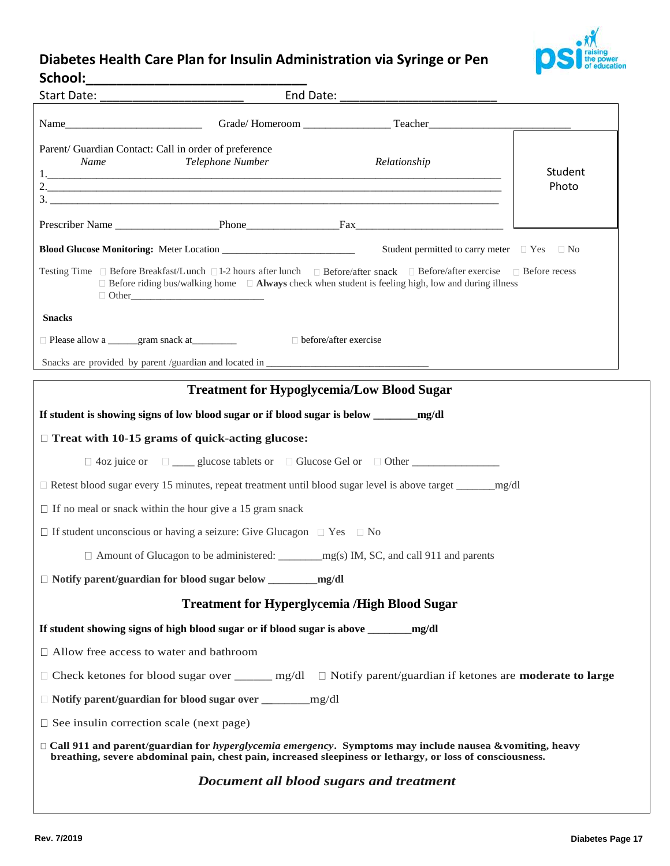## **Diabetes Health Care Plan for Insulin Administration via Syringe or Pen School:\_\_\_\_\_\_\_\_\_\_\_\_\_\_\_\_\_\_\_\_\_\_\_\_\_\_\_\_\_**



| Parent/ Guardian Contact: Call in order of preference<br>Name                                                                                                                                                                                      | Telephone Number                                  | Relationship                                | Student<br>Photo |  |  |
|----------------------------------------------------------------------------------------------------------------------------------------------------------------------------------------------------------------------------------------------------|---------------------------------------------------|---------------------------------------------|------------------|--|--|
|                                                                                                                                                                                                                                                    |                                                   |                                             |                  |  |  |
|                                                                                                                                                                                                                                                    |                                                   | Student permitted to carry meter □ Yes □ No |                  |  |  |
| Testing Time □ Before Breakfast/Lunch □1-2 hours after lunch □ Before/after snack □ Before/after exercise □ Before recess<br>$\Box$ Before riding bus/walking home $\Box$ <b>Always</b> check when student is feeling high, low and during illness |                                                   |                                             |                  |  |  |
| <b>Snacks</b>                                                                                                                                                                                                                                      |                                                   |                                             |                  |  |  |
| □ Please allow a _______gram snack at _________                                                                                                                                                                                                    | $\Box$ before/after exercise                      |                                             |                  |  |  |
|                                                                                                                                                                                                                                                    |                                                   |                                             |                  |  |  |
|                                                                                                                                                                                                                                                    | <b>Treatment for Hypoglycemia/Low Blood Sugar</b> |                                             |                  |  |  |
| If student is showing signs of low blood sugar or if blood sugar is below _________ mg/dl                                                                                                                                                          |                                                   |                                             |                  |  |  |
| $\Box$ Treat with 10-15 grams of quick-acting glucose:                                                                                                                                                                                             |                                                   |                                             |                  |  |  |
|                                                                                                                                                                                                                                                    |                                                   |                                             |                  |  |  |
| □ Retest blood sugar every 15 minutes, repeat treatment until blood sugar level is above target ________mg/dl                                                                                                                                      |                                                   |                                             |                  |  |  |
| $\Box$ If no meal or snack within the hour give a 15 gram snack                                                                                                                                                                                    |                                                   |                                             |                  |  |  |
| $\Box$ If student unconscious or having a seizure: Give Glucagon $\Box$ Yes $\Box$ No                                                                                                                                                              |                                                   |                                             |                  |  |  |
|                                                                                                                                                                                                                                                    |                                                   |                                             |                  |  |  |
|                                                                                                                                                                                                                                                    |                                                   |                                             |                  |  |  |
| <b>Treatment for Hyperglycemia /High Blood Sugar</b>                                                                                                                                                                                               |                                                   |                                             |                  |  |  |
|                                                                                                                                                                                                                                                    |                                                   |                                             |                  |  |  |
| $\Box$ Allow free access to water and bathroom                                                                                                                                                                                                     |                                                   |                                             |                  |  |  |
| □ Check ketones for blood sugar over _____ mg/dl □ Notify parent/guardian if ketones are <b>moderate to large</b>                                                                                                                                  |                                                   |                                             |                  |  |  |
|                                                                                                                                                                                                                                                    |                                                   |                                             |                  |  |  |
| $\Box$ See insulin correction scale (next page)                                                                                                                                                                                                    |                                                   |                                             |                  |  |  |
| $\Box$ Call 911 and parent/guardian for <i>hyperglycemia emergency</i> . Symptoms may include nausea & vomiting, heavy<br>breathing, severe abdominal pain, chest pain, increased sleepiness or lethargy, or loss of consciousness.                |                                                   |                                             |                  |  |  |
| Document all blood sugars and treatment                                                                                                                                                                                                            |                                                   |                                             |                  |  |  |